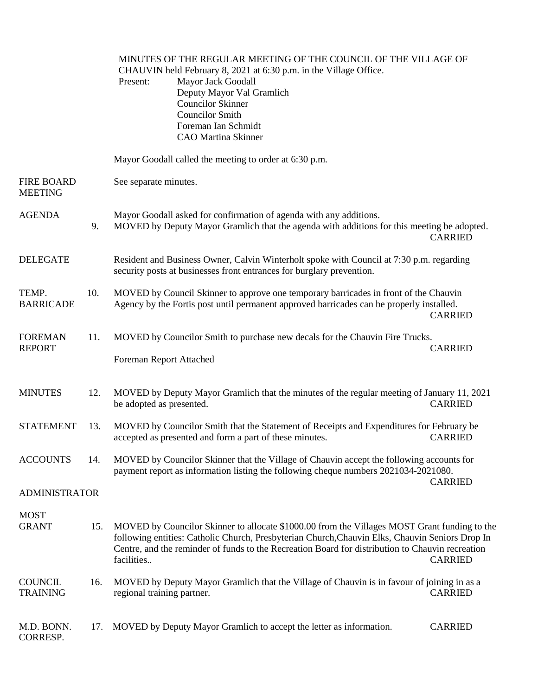|                                     |     | MINUTES OF THE REGULAR MEETING OF THE COUNCIL OF THE VILLAGE OF<br>CHAUVIN held February 8, 2021 at 6:30 p.m. in the Village Office.<br>Mayor Jack Goodall<br>Present:<br>Deputy Mayor Val Gramlich<br><b>Councilor Skinner</b><br><b>Councilor Smith</b><br>Foreman Ian Schmidt<br><b>CAO</b> Martina Skinner                      |                |
|-------------------------------------|-----|-------------------------------------------------------------------------------------------------------------------------------------------------------------------------------------------------------------------------------------------------------------------------------------------------------------------------------------|----------------|
|                                     |     | Mayor Goodall called the meeting to order at 6:30 p.m.                                                                                                                                                                                                                                                                              |                |
| <b>FIRE BOARD</b><br><b>MEETING</b> |     | See separate minutes.                                                                                                                                                                                                                                                                                                               |                |
| <b>AGENDA</b>                       | 9.  | Mayor Goodall asked for confirmation of agenda with any additions.<br>MOVED by Deputy Mayor Gramlich that the agenda with additions for this meeting be adopted.                                                                                                                                                                    | <b>CARRIED</b> |
| <b>DELEGATE</b>                     |     | Resident and Business Owner, Calvin Winterholt spoke with Council at 7:30 p.m. regarding<br>security posts at businesses front entrances for burglary prevention.                                                                                                                                                                   |                |
| TEMP.<br><b>BARRICADE</b>           | 10. | MOVED by Council Skinner to approve one temporary barricades in front of the Chauvin<br>Agency by the Fortis post until permanent approved barricades can be properly installed.                                                                                                                                                    | <b>CARRIED</b> |
| <b>FOREMAN</b><br><b>REPORT</b>     | 11. | MOVED by Councilor Smith to purchase new decals for the Chauvin Fire Trucks.                                                                                                                                                                                                                                                        | <b>CARRIED</b> |
|                                     |     | Foreman Report Attached                                                                                                                                                                                                                                                                                                             |                |
| <b>MINUTES</b>                      | 12. | MOVED by Deputy Mayor Gramlich that the minutes of the regular meeting of January 11, 2021<br>be adopted as presented.                                                                                                                                                                                                              | <b>CARRIED</b> |
| <b>STATEMENT</b>                    | 13. | MOVED by Councilor Smith that the Statement of Receipts and Expenditures for February be<br>accepted as presented and form a part of these minutes.                                                                                                                                                                                 | <b>CARRIED</b> |
| <b>ACCOUNTS</b>                     | 14. | MOVED by Councilor Skinner that the Village of Chauvin accept the following accounts for<br>payment report as information listing the following cheque numbers 2021034-2021080.                                                                                                                                                     | <b>CARRIED</b> |
| <b>ADMINISTRATOR</b>                |     |                                                                                                                                                                                                                                                                                                                                     |                |
| <b>MOST</b><br><b>GRANT</b>         | 15. | MOVED by Councilor Skinner to allocate \$1000.00 from the Villages MOST Grant funding to the<br>following entities: Catholic Church, Presbyterian Church, Chauvin Elks, Chauvin Seniors Drop In<br>Centre, and the reminder of funds to the Recreation Board for distribution to Chauvin recreation<br>facilities<br><b>CARRIED</b> |                |
| <b>COUNCIL</b><br><b>TRAINING</b>   | 16. | MOVED by Deputy Mayor Gramlich that the Village of Chauvin is in favour of joining in as a<br>regional training partner.                                                                                                                                                                                                            | <b>CARRIED</b> |
| M.D. BONN.<br>CORRESP.              | 17. | MOVED by Deputy Mayor Gramlich to accept the letter as information.                                                                                                                                                                                                                                                                 | <b>CARRIED</b> |